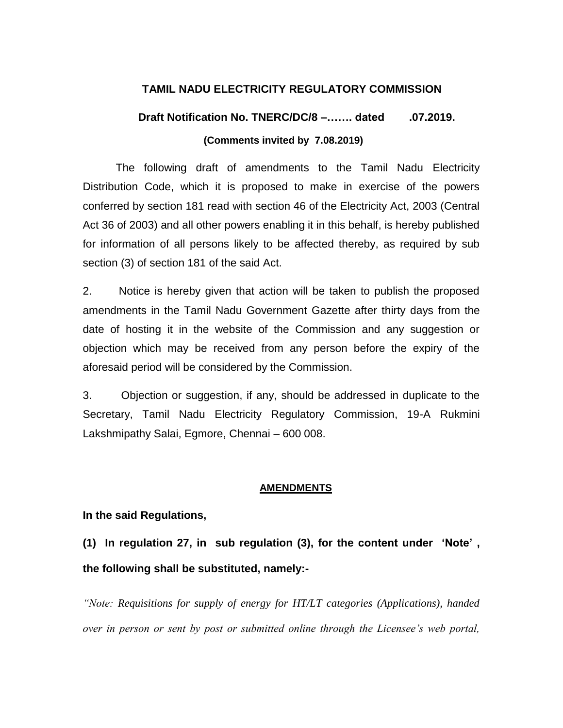#### **TAMIL NADU ELECTRICITY REGULATORY COMMISSION**

## **Draft Notification No. TNERC/DC/8 –……. dated .07.2019. (Comments invited by 7.08.2019)**

The following draft of amendments to the Tamil Nadu Electricity Distribution Code, which it is proposed to make in exercise of the powers conferred by section 181 read with section 46 of the Electricity Act, 2003 (Central Act 36 of 2003) and all other powers enabling it in this behalf, is hereby published for information of all persons likely to be affected thereby, as required by sub section (3) of section 181 of the said Act.

2. Notice is hereby given that action will be taken to publish the proposed amendments in the Tamil Nadu Government Gazette after thirty days from the date of hosting it in the website of the Commission and any suggestion or objection which may be received from any person before the expiry of the aforesaid period will be considered by the Commission.

3. Objection or suggestion, if any, should be addressed in duplicate to the Secretary, Tamil Nadu Electricity Regulatory Commission, 19-A Rukmini Lakshmipathy Salai, Egmore, Chennai – 600 008.

#### **AMENDMENTS**

#### **In the said Regulations,**

**(1) In regulation 27, in sub regulation (3), for the content under "Note" , the following shall be substituted, namely:-**

*"Note: Requisitions for supply of energy for HT/LT categories (Applications), handed over in person or sent by post or submitted online through the Licensee's web portal,*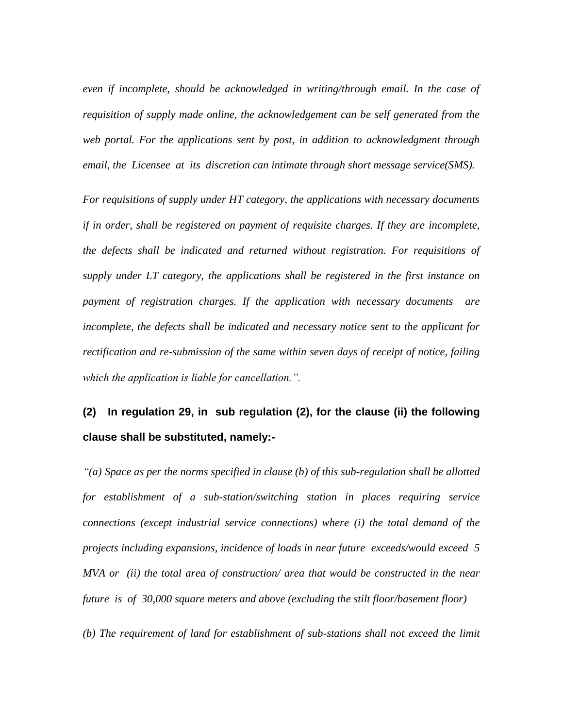*even if incomplete, should be acknowledged in writing/through email. In the case of requisition of supply made online, the acknowledgement can be self generated from the web portal. For the applications sent by post, in addition to acknowledgment through email, the Licensee at its discretion can intimate through short message service(SMS).* 

*For requisitions of supply under HT category, the applications with necessary documents if in order, shall be registered on payment of requisite charges. If they are incomplete, the defects shall be indicated and returned without registration. For requisitions of supply under LT category, the applications shall be registered in the first instance on payment of registration charges. If the application with necessary documents are incomplete, the defects shall be indicated and necessary notice sent to the applicant for rectification and re-submission of the same within seven days of receipt of notice, failing which the application is liable for cancellation.".*

# **(2) In regulation 29, in sub regulation (2), for the clause (ii) the following clause shall be substituted, namely:-**

*"(a) Space as per the norms specified in clause (b) of this sub-regulation shall be allotted for establishment of a sub-station/switching station in places requiring service connections (except industrial service connections) where (i) the total demand of the projects including expansions, incidence of loads in near future exceeds/would exceed 5 MVA or (ii) the total area of construction/ area that would be constructed in the near future is of 30,000 square meters and above (excluding the stilt floor/basement floor)*

*(b) The requirement of land for establishment of sub-stations shall not exceed the limit*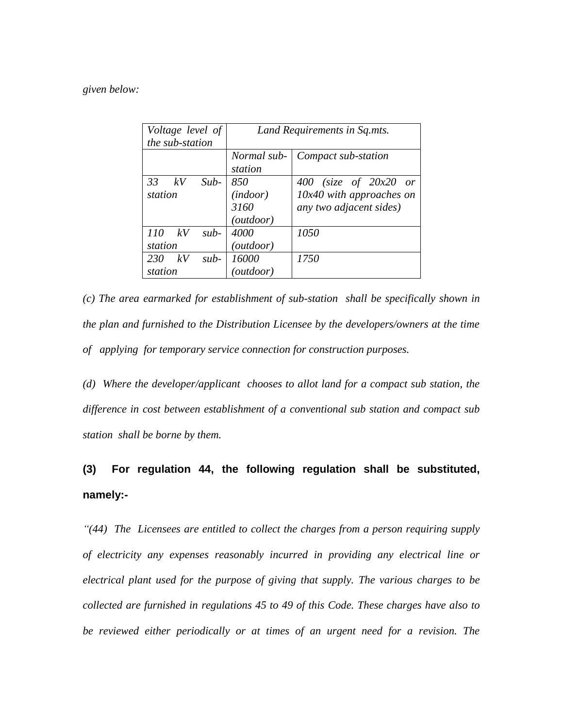#### *given below:*

| Voltage level of    | Land Requirements in Sq.mts. |                            |
|---------------------|------------------------------|----------------------------|
| the sub-station     |                              |                            |
|                     | Normal sub-                  | Compact sub-station        |
|                     | station                      |                            |
| 33<br>$Sub-$<br>kV  | 850                          | 400 (size of $20x20$ or    |
| station             | (indoor)                     | $10x40$ with approaches on |
|                     | 3160                         | any two adjacent sides)    |
|                     | ( <i>outdoor</i> )           |                            |
| 110<br>kV<br>$sub-$ | 4000                         | 1050                       |
| station             | (outdoor)                    |                            |
| kV<br>230<br>$sub-$ | 16000                        | 1750                       |
| station             | (outdoor)                    |                            |

*(c) The area earmarked for establishment of sub-station shall be specifically shown in the plan and furnished to the Distribution Licensee by the developers/owners at the time of applying for temporary service connection for construction purposes.*

*(d) Where the developer/applicant chooses to allot land for a compact sub station, the difference in cost between establishment of a conventional sub station and compact sub station shall be borne by them.*

# **(3) For regulation 44, the following regulation shall be substituted, namely:-**

*"(44) The Licensees are entitled to collect the charges from a person requiring supply of electricity any expenses reasonably incurred in providing any electrical line or electrical plant used for the purpose of giving that supply. The various charges to be collected are furnished in regulations 45 to 49 of this Code. These charges have also to*  be reviewed either periodically or at times of an urgent need for a revision. The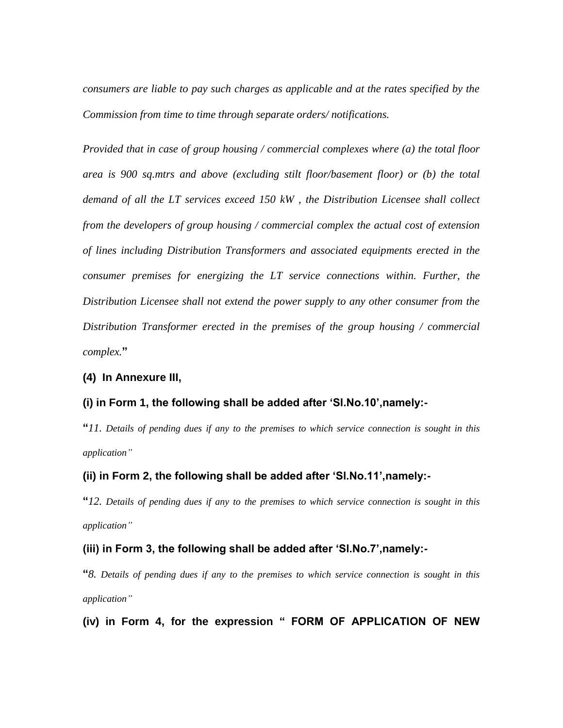*consumers are liable to pay such charges as applicable and at the rates specified by the Commission from time to time through separate orders/ notifications.*

*Provided that in case of group housing / commercial complexes where (a) the total floor area is 900 sq.mtrs and above (excluding stilt floor/basement floor) or (b) the total demand of all the LT services exceed 150 kW , the Distribution Licensee shall collect from the developers of group housing / commercial complex the actual cost of extension of lines including Distribution Transformers and associated equipments erected in the consumer premises for energizing the LT service connections within. Further, the Distribution Licensee shall not extend the power supply to any other consumer from the Distribution Transformer erected in the premises of the group housing / commercial complex.***"**

#### **(4) In Annexure III,**

#### **(i) in Form 1, the following shall be added after "Sl.No.10",namely:-**

**"***11. Details of pending dues if any to the premises to which service connection is sought in this application"*

#### **(ii) in Form 2, the following shall be added after "Sl.No.11",namely:-**

**"***12. Details of pending dues if any to the premises to which service connection is sought in this application"*

#### **(iii) in Form 3, the following shall be added after "Sl.No.7",namely:-**

**"***8. Details of pending dues if any to the premises to which service connection is sought in this application"*

**(iv) in Form 4, for the expression " FORM OF APPLICATION OF NEW**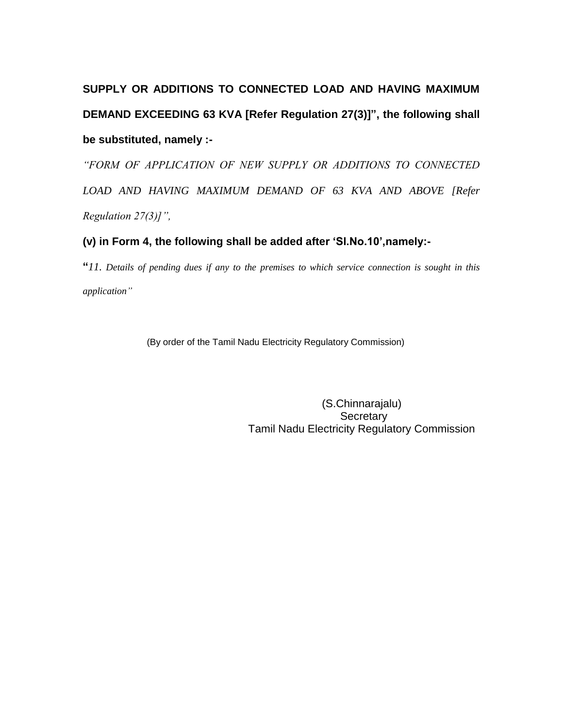# **SUPPLY OR ADDITIONS TO CONNECTED LOAD AND HAVING MAXIMUM DEMAND EXCEEDING 63 KVA [Refer Regulation 27(3)]", the following shall be substituted, namely :-**

*"FORM OF APPLICATION OF NEW SUPPLY OR ADDITIONS TO CONNECTED LOAD AND HAVING MAXIMUM DEMAND OF 63 KVA AND ABOVE [Refer Regulation 27(3)]",*

### **(v) in Form 4, the following shall be added after "Sl.No.10",namely:-**

**"***11. Details of pending dues if any to the premises to which service connection is sought in this application"*

(By order of the Tamil Nadu Electricity Regulatory Commission)

 (S.Chinnarajalu) **Secretary** Tamil Nadu Electricity Regulatory Commission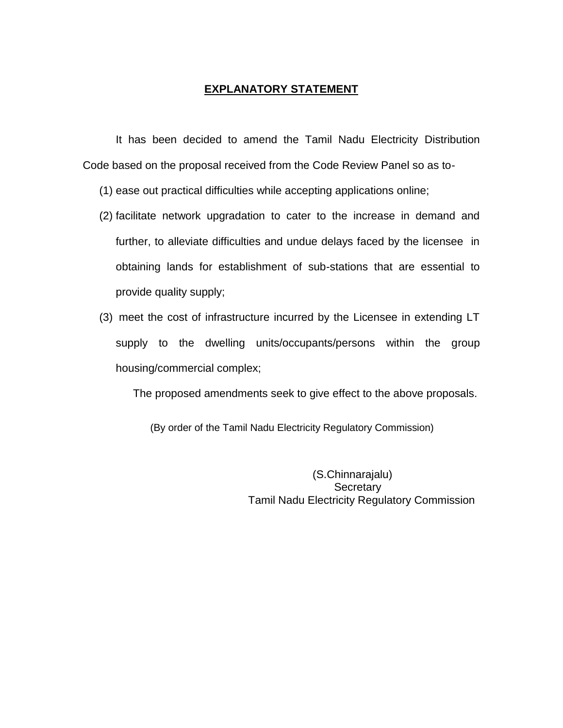#### **EXPLANATORY STATEMENT**

It has been decided to amend the Tamil Nadu Electricity Distribution Code based on the proposal received from the Code Review Panel so as to-

- (1) ease out practical difficulties while accepting applications online;
- (2) facilitate network upgradation to cater to the increase in demand and further, to alleviate difficulties and undue delays faced by the licensee in obtaining lands for establishment of sub-stations that are essential to provide quality supply;
- (3) meet the cost of infrastructure incurred by the Licensee in extending LT supply to the dwelling units/occupants/persons within the group housing/commercial complex;

The proposed amendments seek to give effect to the above proposals.

(By order of the Tamil Nadu Electricity Regulatory Commission)

 (S.Chinnarajalu) **Secretary** Tamil Nadu Electricity Regulatory Commission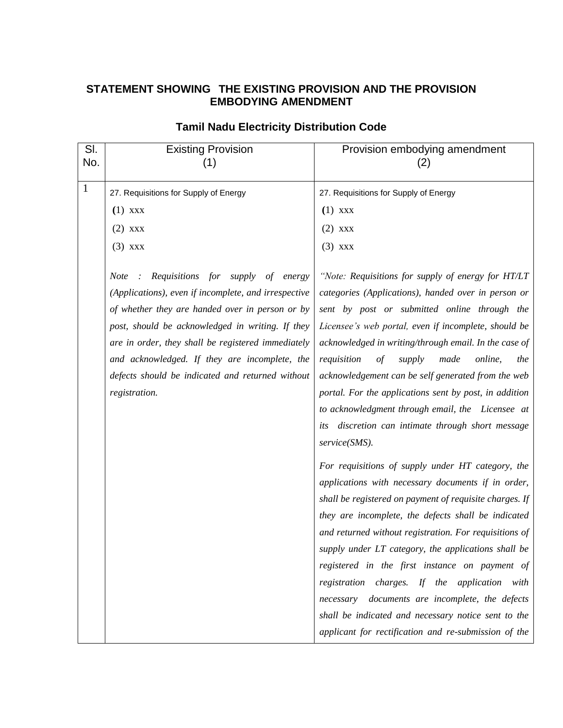## **STATEMENT SHOWING THE EXISTING PROVISION AND THE PROVISION EMBODYING AMENDMENT**

| SI.<br>No.   | <b>Existing Provision</b><br>(1)                                                                                                                                                                                                                                                                                                                                                                  | Provision embodying amendment<br>(2)                                                                                                                                                                                                                                                                                                                                                                                                                                                                                                                                                                            |
|--------------|---------------------------------------------------------------------------------------------------------------------------------------------------------------------------------------------------------------------------------------------------------------------------------------------------------------------------------------------------------------------------------------------------|-----------------------------------------------------------------------------------------------------------------------------------------------------------------------------------------------------------------------------------------------------------------------------------------------------------------------------------------------------------------------------------------------------------------------------------------------------------------------------------------------------------------------------------------------------------------------------------------------------------------|
| $\mathbf{1}$ | 27. Requisitions for Supply of Energy                                                                                                                                                                                                                                                                                                                                                             | 27. Requisitions for Supply of Energy                                                                                                                                                                                                                                                                                                                                                                                                                                                                                                                                                                           |
|              | $(1)$ xxx                                                                                                                                                                                                                                                                                                                                                                                         | $(1)$ xxx                                                                                                                                                                                                                                                                                                                                                                                                                                                                                                                                                                                                       |
|              | $(2)$ xxx                                                                                                                                                                                                                                                                                                                                                                                         | $(2)$ xxx                                                                                                                                                                                                                                                                                                                                                                                                                                                                                                                                                                                                       |
|              | $(3)$ xxx                                                                                                                                                                                                                                                                                                                                                                                         | $(3)$ xxx                                                                                                                                                                                                                                                                                                                                                                                                                                                                                                                                                                                                       |
|              | Requisitions for<br><b>Note</b><br>supply<br>of energy<br>(Applications), even if incomplete, and irrespective<br>of whether they are handed over in person or by<br>post, should be acknowledged in writing. If they<br>are in order, they shall be registered immediately<br>and acknowledged. If they are incomplete, the<br>defects should be indicated and returned without<br>registration. | "Note: Requisitions for supply of energy for HT/LT<br>categories (Applications), handed over in person or<br>sent by post or submitted online through the<br>Licensee's web portal, even if incomplete, should be<br>acknowledged in writing/through email. In the case of<br>requisition<br>$\sigma f$<br>supply<br>made<br>online,<br>the<br>acknowledgement can be self generated from the web<br>portal. For the applications sent by post, in addition<br>to acknowledgment through email, the Licensee at<br>discretion can intimate through short message<br>its<br>service(SMS).                        |
|              |                                                                                                                                                                                                                                                                                                                                                                                                   | For requisitions of supply under HT category, the<br>applications with necessary documents if in order,<br>shall be registered on payment of requisite charges. If<br>they are incomplete, the defects shall be indicated<br>and returned without registration. For requisitions of<br>supply under LT category, the applications shall be<br>registered in the first instance on payment of<br>registration charges. If the application with<br>necessary documents are incomplete, the defects<br>shall be indicated and necessary notice sent to the<br>applicant for rectification and re-submission of the |

## **Tamil Nadu Electricity Distribution Code**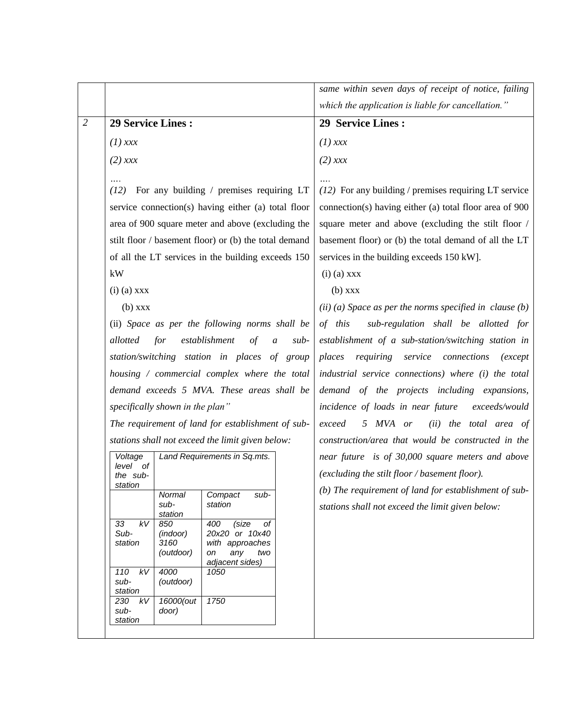|                                                                                              |                                                                               |                   |                                                       |                                                                                                                                                                                                                 | same within seven days of receipt of notice, failing                                               |  |
|----------------------------------------------------------------------------------------------|-------------------------------------------------------------------------------|-------------------|-------------------------------------------------------|-----------------------------------------------------------------------------------------------------------------------------------------------------------------------------------------------------------------|----------------------------------------------------------------------------------------------------|--|
|                                                                                              |                                                                               |                   |                                                       |                                                                                                                                                                                                                 | which the application is liable for cancellation."                                                 |  |
| $\overline{2}$                                                                               | <b>29 Service Lines:</b>                                                      |                   | 29 Service Lines:                                     |                                                                                                                                                                                                                 |                                                                                                    |  |
|                                                                                              | $(1)$ xxx                                                                     |                   |                                                       |                                                                                                                                                                                                                 | $(1)$ xxx                                                                                          |  |
|                                                                                              | $(2)$ xxx                                                                     |                   |                                                       |                                                                                                                                                                                                                 | $(2)$ xxx                                                                                          |  |
|                                                                                              | For any building / premises requiring LT<br>(12)                              |                   |                                                       | $(12)$ For any building / premises requiring LT service                                                                                                                                                         |                                                                                                    |  |
|                                                                                              |                                                                               |                   | service connection(s) having either (a) total floor   |                                                                                                                                                                                                                 | connection(s) having either (a) total floor area of 900                                            |  |
|                                                                                              |                                                                               |                   | area of 900 square meter and above (excluding the     |                                                                                                                                                                                                                 | square meter and above (excluding the stilt floor /                                                |  |
|                                                                                              |                                                                               |                   | stilt floor / basement floor) or (b) the total demand |                                                                                                                                                                                                                 | basement floor) or (b) the total demand of all the LT                                              |  |
|                                                                                              |                                                                               |                   | of all the LT services in the building exceeds 150    |                                                                                                                                                                                                                 | services in the building exceeds 150 kW].                                                          |  |
|                                                                                              | kW                                                                            |                   |                                                       |                                                                                                                                                                                                                 | $(i)$ (a) $xxx$                                                                                    |  |
|                                                                                              | $(i)$ (a) $xxx$                                                               |                   |                                                       |                                                                                                                                                                                                                 | $(b)$ xxx                                                                                          |  |
|                                                                                              | $(b)$ xxx                                                                     |                   |                                                       |                                                                                                                                                                                                                 | (ii) (a) Space as per the norms specified in clause $(b)$                                          |  |
|                                                                                              |                                                                               |                   | (ii) Space as per the following norms shall be        |                                                                                                                                                                                                                 | sub-regulation shall be allotted for<br>of this                                                    |  |
|                                                                                              | allotted                                                                      | for               | establishment<br>$\sigma f$                           | $sub-$<br>$\boldsymbol{a}$                                                                                                                                                                                      | establishment of a sub-station/switching station in                                                |  |
| station/switching station in places of group<br>housing / commercial complex where the total |                                                                               |                   |                                                       | requiring service connections<br>places<br>(except<br>industrial service connections) where (i) the total<br>demand of the projects including expansions,<br>incidence of loads in near future<br>exceeds/would |                                                                                                    |  |
|                                                                                              |                                                                               |                   |                                                       |                                                                                                                                                                                                                 |                                                                                                    |  |
|                                                                                              | demand exceeds 5 MVA. These areas shall be<br>specifically shown in the plan" |                   |                                                       |                                                                                                                                                                                                                 |                                                                                                    |  |
|                                                                                              |                                                                               |                   |                                                       |                                                                                                                                                                                                                 |                                                                                                    |  |
|                                                                                              |                                                                               |                   | The requirement of land for establishment of sub-     |                                                                                                                                                                                                                 | 5 MVA or<br>(ii) the total area of<br>exceed<br>construction/area that would be constructed in the |  |
|                                                                                              |                                                                               |                   | stations shall not exceed the limit given below:      |                                                                                                                                                                                                                 |                                                                                                    |  |
|                                                                                              | Voltage                                                                       |                   | Land Requirements in Sq.mts.                          |                                                                                                                                                                                                                 | near future is of 30,000 square meters and above                                                   |  |
|                                                                                              | level of<br>the sub-                                                          |                   |                                                       |                                                                                                                                                                                                                 | (excluding the stilt floor / basement floor).                                                      |  |
|                                                                                              | station                                                                       | Normal            | Compact<br>sub-                                       |                                                                                                                                                                                                                 | (b) The requirement of land for establishment of sub-                                              |  |
|                                                                                              |                                                                               | sub-<br>station   | station                                               |                                                                                                                                                                                                                 | stations shall not exceed the limit given below:                                                   |  |
|                                                                                              | kV<br>33                                                                      | 850               | 400<br>(size<br>оf                                    |                                                                                                                                                                                                                 |                                                                                                    |  |
|                                                                                              | Sub-<br>station                                                               | (indoor)<br>3160  | 20x20 or 10x40<br>with approaches                     |                                                                                                                                                                                                                 |                                                                                                    |  |
|                                                                                              |                                                                               | (outdoor)         | two<br>any<br>on<br>adjacent sides)                   |                                                                                                                                                                                                                 |                                                                                                    |  |
|                                                                                              | $kV$<br>110<br>sub-                                                           | 4000<br>(outdoor) | 1050                                                  |                                                                                                                                                                                                                 |                                                                                                    |  |
|                                                                                              | station<br>230<br>kV                                                          | 16000(out         | 1750                                                  |                                                                                                                                                                                                                 |                                                                                                    |  |
|                                                                                              | sub-<br>station                                                               | door)             |                                                       |                                                                                                                                                                                                                 |                                                                                                    |  |
|                                                                                              |                                                                               |                   |                                                       |                                                                                                                                                                                                                 |                                                                                                    |  |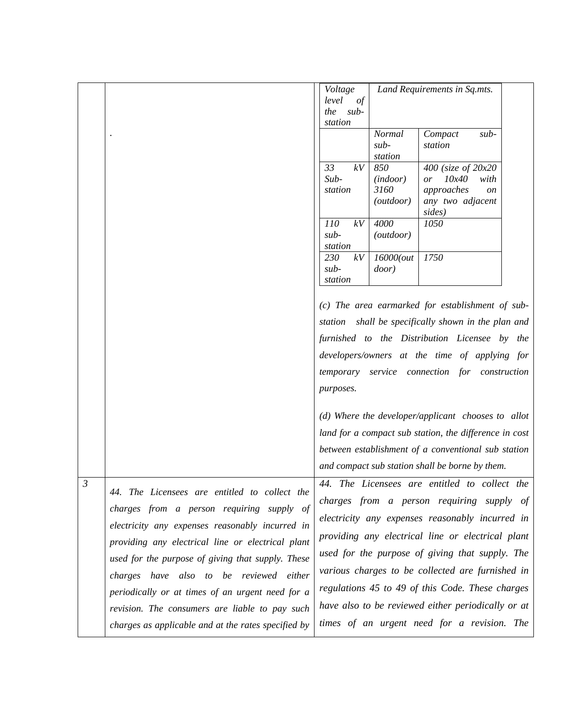|                |                                                                                                       | Voltage<br>level<br>of        |                                      | Land Requirements in Sq.mts.                                                                            |  |
|----------------|-------------------------------------------------------------------------------------------------------|-------------------------------|--------------------------------------|---------------------------------------------------------------------------------------------------------|--|
|                |                                                                                                       | $sub-$<br>the<br>station      |                                      |                                                                                                         |  |
|                |                                                                                                       |                               | <b>Normal</b><br>$sub-$<br>station   | Compact<br>$sub-$<br>station                                                                            |  |
|                |                                                                                                       | 33<br>kV<br>$Sub-$<br>station | 850<br>(indoor)<br>3160<br>(outdoor) | 400 (size of 20x20<br>10x40<br>with<br>or<br>approaches<br><sub>on</sub><br>any two adjacent<br>sides)  |  |
|                |                                                                                                       | 110<br>kV<br>sub-<br>station  | 4000<br>(outdoor)                    | 1050                                                                                                    |  |
|                |                                                                                                       | 230<br>kV<br>sub-<br>station  | 16000(out<br>door)                   | 1750                                                                                                    |  |
|                |                                                                                                       |                               |                                      | (c) The area earmarked for establishment of sub-<br>station shall be specifically shown in the plan and |  |
|                |                                                                                                       |                               |                                      | furnished to the Distribution Licensee by the                                                           |  |
|                |                                                                                                       |                               |                                      | developers/owners at the time of applying for                                                           |  |
|                |                                                                                                       | temporary                     |                                      | service connection for construction                                                                     |  |
|                |                                                                                                       | purposes.                     |                                      |                                                                                                         |  |
|                |                                                                                                       |                               |                                      | $(d)$ Where the developer/applicant chooses to allot                                                    |  |
|                |                                                                                                       |                               |                                      | land for a compact sub station, the difference in cost                                                  |  |
|                |                                                                                                       |                               |                                      | between establishment of a conventional sub station                                                     |  |
| $\mathfrak{Z}$ |                                                                                                       |                               |                                      | and compact sub station shall be borne by them.<br>44. The Licensees are entitled to collect the        |  |
|                | 44. The Licensees are entitled to collect the<br>charges from a person requiring supply of            |                               |                                      | charges from a person requiring supply of                                                               |  |
|                | electricity any expenses reasonably incurred in<br>providing any electrical line or electrical plant  |                               |                                      | electricity any expenses reasonably incurred in<br>providing any electrical line or electrical plant    |  |
|                | used for the purpose of giving that supply. These                                                     |                               |                                      | used for the purpose of giving that supply. The                                                         |  |
|                | charges have also to be reviewed either                                                               |                               |                                      | various charges to be collected are furnished in                                                        |  |
|                | periodically or at times of an urgent need for a                                                      |                               |                                      | regulations 45 to 49 of this Code. These charges<br>have also to be reviewed either periodically or at  |  |
|                | revision. The consumers are liable to pay such<br>charges as applicable and at the rates specified by |                               |                                      | times of an urgent need for a revision. The                                                             |  |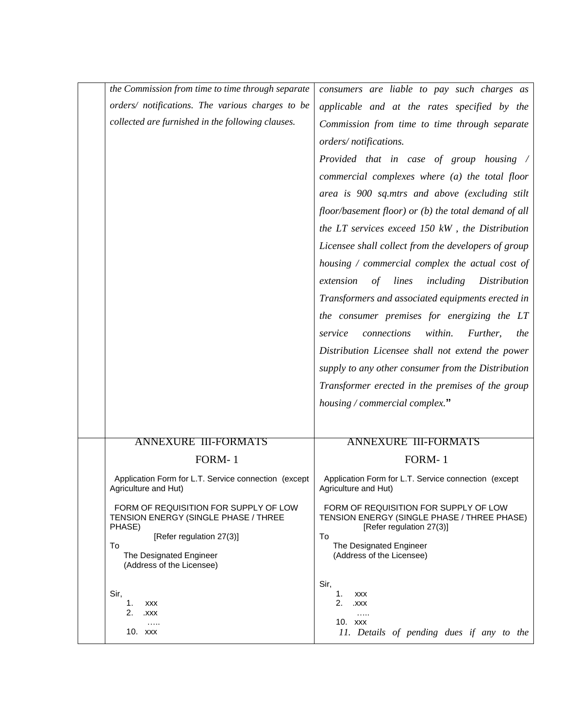| the Commission from time to time through separate                                       | consumers are liable to pay such charges as                                                                      |  |
|-----------------------------------------------------------------------------------------|------------------------------------------------------------------------------------------------------------------|--|
| orders/ notifications. The various charges to be                                        | applicable and at the rates specified by the                                                                     |  |
| collected are furnished in the following clauses.                                       | Commission from time to time through separate                                                                    |  |
|                                                                                         | orders/notifications.                                                                                            |  |
|                                                                                         | Provided that in case of group housing /                                                                         |  |
|                                                                                         | commercial complexes where (a) the total floor                                                                   |  |
|                                                                                         | area is 900 sq.mtrs and above (excluding stilt                                                                   |  |
|                                                                                         | floor/basement floor) or (b) the total demand of all                                                             |  |
|                                                                                         | the LT services exceed 150 kW, the Distribution                                                                  |  |
|                                                                                         | Licensee shall collect from the developers of group                                                              |  |
|                                                                                         | housing $\ell$ commercial complex the actual cost of                                                             |  |
|                                                                                         | lines<br>including<br>Distribution<br>extension<br>of                                                            |  |
|                                                                                         | Transformers and associated equipments erected in                                                                |  |
|                                                                                         | the consumer premises for energizing the LT                                                                      |  |
|                                                                                         | connections<br>within.<br>Further,<br>service<br>the                                                             |  |
|                                                                                         | Distribution Licensee shall not extend the power                                                                 |  |
|                                                                                         | supply to any other consumer from the Distribution                                                               |  |
|                                                                                         | Transformer erected in the premises of the group                                                                 |  |
|                                                                                         | housing / commercial complex."                                                                                   |  |
|                                                                                         |                                                                                                                  |  |
| <b>ANNEXURE III-FORMATS</b>                                                             | <b>ANNEXURE III-FORMATS</b>                                                                                      |  |
| FORM-1                                                                                  | FORM-1                                                                                                           |  |
| Application Form for L.T. Service connection (except<br>Agriculture and Hut)            | Application Form for L.T. Service connection (except<br>Agriculture and Hut)                                     |  |
| FORM OF REQUISITION FOR SUPPLY OF LOW<br>TENSION ENERGY (SINGLE PHASE / THREE<br>PHASE) | FORM OF REQUISITION FOR SUPPLY OF LOW<br>TENSION ENERGY (SINGLE PHASE / THREE PHASE)<br>[Refer regulation 27(3)] |  |
| [Refer regulation 27(3)]<br>To                                                          | To<br>The Designated Engineer                                                                                    |  |
| The Designated Engineer<br>(Address of the Licensee)                                    | (Address of the Licensee)                                                                                        |  |
| Sir,<br>1.<br><b>XXX</b><br>2.<br>XXX.<br>.<br>10. xxx                                  | Sir,<br>1.<br><b>XXX</b><br>2.<br>.XXX<br>.<br>10. xxx<br>11. Details of pending dues if any to the              |  |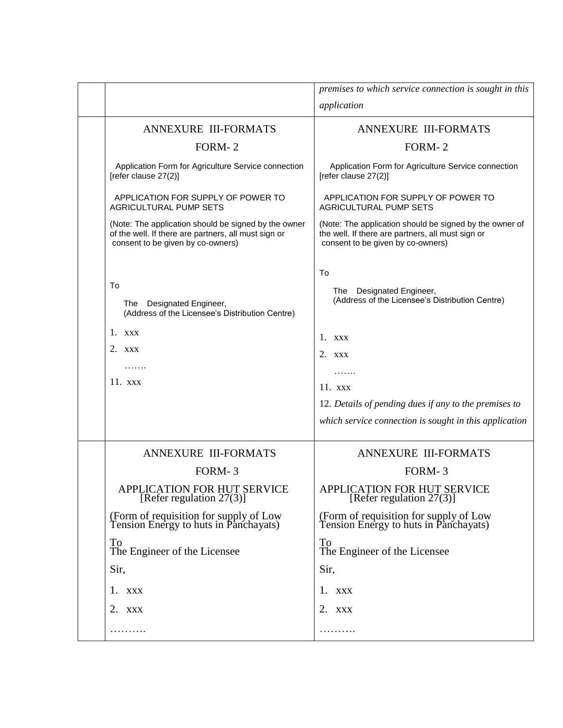|                                                                                                                                                   | premises to which service connection is sought in this                                                                                            |
|---------------------------------------------------------------------------------------------------------------------------------------------------|---------------------------------------------------------------------------------------------------------------------------------------------------|
|                                                                                                                                                   | application                                                                                                                                       |
| <b>ANNEXURE III-FORMATS</b>                                                                                                                       | <b>ANNEXURE III-FORMATS</b>                                                                                                                       |
| FORM-2                                                                                                                                            | FORM-2                                                                                                                                            |
| Application Form for Agriculture Service connection<br>[refer clause 27(2)]                                                                       | Application Form for Agriculture Service connection<br>[refer clause 27(2)]                                                                       |
| APPLICATION FOR SUPPLY OF POWER TO<br>AGRICULTURAL PUMP SETS                                                                                      | APPLICATION FOR SUPPLY OF POWER TO<br><b>AGRICULTURAL PUMP SETS</b>                                                                               |
| (Note: The application should be signed by the owner<br>of the well. If there are partners, all must sign or<br>consent to be given by co-owners) | (Note: The application should be signed by the owner of<br>the well. If there are partners, all must sign or<br>consent to be given by co-owners) |
|                                                                                                                                                   |                                                                                                                                                   |
| To<br>The Designated Engineer,<br>(Address of the Licensee's Distribution Centre)                                                                 | To<br>The Designated Engineer,<br>(Address of the Licensee's Distribution Centre)                                                                 |
| 1. XXX                                                                                                                                            | $1.$ xxx                                                                                                                                          |
| 2. XXX                                                                                                                                            | $2.$ XXX                                                                                                                                          |
| .                                                                                                                                                 | .                                                                                                                                                 |
| $11.$ xxx                                                                                                                                         | $11.$ xxx                                                                                                                                         |
|                                                                                                                                                   | 12. Details of pending dues if any to the premises to                                                                                             |
|                                                                                                                                                   | which service connection is sought in this application                                                                                            |
| <b>ANNEXURE III-FORMATS</b>                                                                                                                       | <b>ANNEXURE III-FORMATS</b>                                                                                                                       |
| FORM-3                                                                                                                                            | FORM-3                                                                                                                                            |
| APPLICATION FOR HUT SERVICE<br>[Refer regulation $27(3)$ ]                                                                                        | APPLICATION FOR HUT SERVICE<br>[Refer regulation 27(3)]                                                                                           |
| (Form of requisition for supply of Low<br>Tension Energy to huts in Panchayats)                                                                   | (Form of requisition for supply of Low<br>Tension Energy to huts in Panchayats)                                                                   |
| To<br>The Engineer of the Licensee                                                                                                                | To<br>The Engineer of the Licensee                                                                                                                |
| Sir,                                                                                                                                              | Sir,                                                                                                                                              |
| 1. XXX                                                                                                                                            | 1. XXX                                                                                                                                            |
| 2. XXX                                                                                                                                            | 2. XXX                                                                                                                                            |
| .                                                                                                                                                 |                                                                                                                                                   |